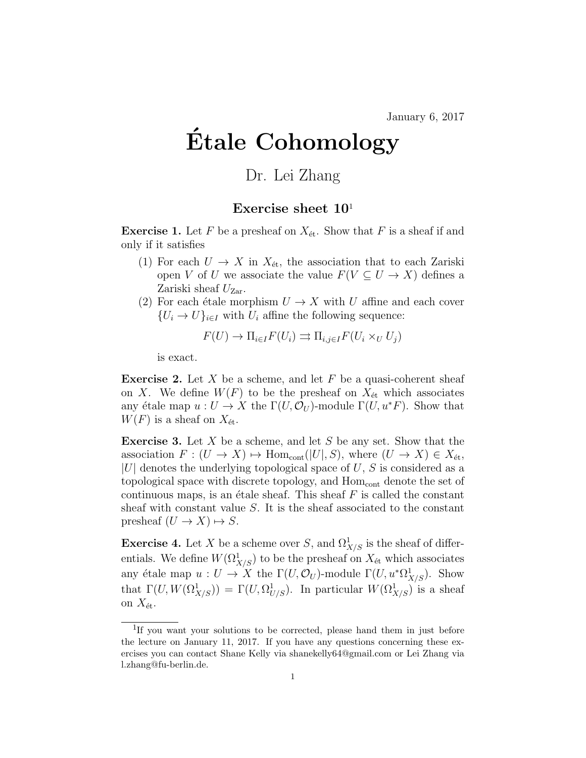## Etale Cohomology ´

## Dr. Lei Zhang

## Exercise sheet  $10<sup>1</sup>$

**Exercise 1.** Let F be a presheaf on  $X_{\text{\'et}}$ . Show that F is a sheaf if and only if it satisfies

- (1) For each  $U \to X$  in  $X_{\text{\'et}}$ , the association that to each Zariski open V of U we associate the value  $F(V \subseteq U \to X)$  defines a Zariski sheaf  $U_{\text{Zar}}$ .
- (2) For each étale morphism  $U \to X$  with U affine and each cover  ${U_i \rightarrow U}_{i \in I}$  with  $U_i$  affine the following sequence:

$$
F(U) \to \Pi_{i \in I} F(U_i) \rightrightarrows \Pi_{i,j \in I} F(U_i \times_U U_j)
$$

is exact.

**Exercise 2.** Let X be a scheme, and let F be a quasi-coherent sheaf on X. We define  $W(F)$  to be the presheaf on  $X_{\text{\'et}}$  which associates any étale map  $u : U \to X$  the  $\Gamma(U, \mathcal{O}_U)$ -module  $\Gamma(U, u^*F)$ . Show that  $W(F)$  is a sheaf on  $X_{\text{\'et}}$ .

**Exercise 3.** Let  $X$  be a scheme, and let  $S$  be any set. Show that the association  $F : (U \to X) \mapsto \text{Hom}_{\text{cont}}(|U|, S)$ , where  $(U \to X) \in X_{\text{\'et}},$  $|U|$  denotes the underlying topological space of U, S is considered as a topological space with discrete topology, and  $Hom<sub>cont</sub>$  denote the set of continuous maps, is an étale sheaf. This sheaf  $F$  is called the constant sheaf with constant value S. It is the sheaf associated to the constant presheaf  $(U \to X) \mapsto S$ .

**Exercise 4.** Let X be a scheme over S, and  $\Omega^1_{X/S}$  is the sheaf of differentials. We define  $W(\Omega^1_{X/S})$  to be the presheaf on  $X_{\text{\'et}}$  which associates any étale map  $u : U \to X$  the  $\Gamma(U, \mathcal{O}_U)$ -module  $\Gamma(U, u^*\Omega^1_{X/S})$ . Show that  $\Gamma(U, W(\Omega^1_{X/S})) = \Gamma(U, \Omega^1_{U/S})$ . In particular  $W(\Omega^1_{X/S})$  is a sheaf on  $X_{\text{\'et}}$ .

<sup>&</sup>lt;sup>1</sup>If you want your solutions to be corrected, please hand them in just before the lecture on January 11, 2017. If you have any questions concerning these exercises you can contact Shane Kelly via shanekelly64@gmail.com or Lei Zhang via l.zhang@fu-berlin.de.